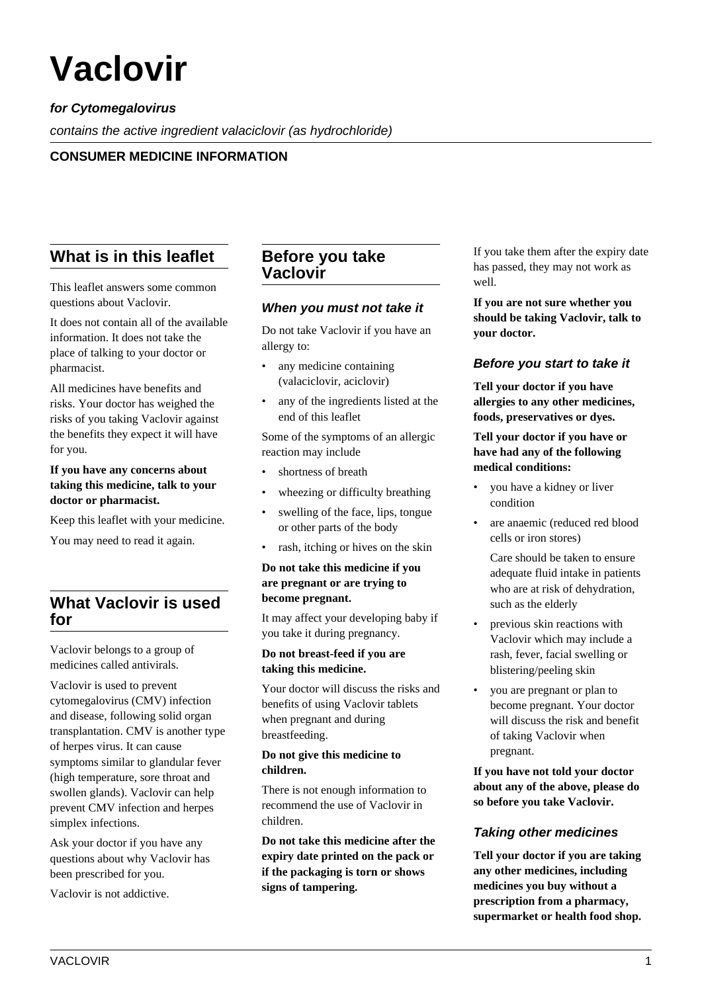# **Vaclovir**

# **for Cytomegalovirus**

contains the active ingredient valaciclovir (as hydrochloride)

## **CONSUMER MEDICINE INFORMATION**

# **What is in this leaflet**

This leaflet answers some common questions about Vaclovir.

It does not contain all of the available information. It does not take the place of talking to your doctor or pharmacist.

All medicines have benefits and risks. Your doctor has weighed the risks of you taking Vaclovir against the benefits they expect it will have for you.

## **If you have any concerns about taking this medicine, talk to your doctor or pharmacist.**

Keep this leaflet with your medicine.

You may need to read it again.

# **What Vaclovir is used for**

Vaclovir belongs to a group of medicines called antivirals.

Vaclovir is used to prevent cytomegalovirus (CMV) infection and disease, following solid organ transplantation. CMV is another type of herpes virus. It can cause symptoms similar to glandular fever (high temperature, sore throat and swollen glands). Vaclovir can help prevent CMV infection and herpes simplex infections.

Ask your doctor if you have any questions about why Vaclovir has been prescribed for you.

Vaclovir is not addictive.

# **Before you take Vaclovir**

## **When you must not take it**

Do not take Vaclovir if you have an allergy to:

- any medicine containing (valaciclovir, aciclovir)
- any of the ingredients listed at the end of this leaflet

Some of the symptoms of an allergic reaction may include

- shortness of breath
- wheezing or difficulty breathing
- swelling of the face, lips, tongue or other parts of the body
- rash, itching or hives on the skin

#### **Do not take this medicine if you are pregnant or are trying to become pregnant.**

It may affect your developing baby if you take it during pregnancy.

#### **Do not breast-feed if you are taking this medicine.**

Your doctor will discuss the risks and benefits of using Vaclovir tablets when pregnant and during breastfeeding.

## **Do not give this medicine to children.**

There is not enough information to recommend the use of Vaclovir in children.

**Do not take this medicine after the expiry date printed on the pack or if the packaging is torn or shows signs of tampering.**

If you take them after the expiry date has passed, they may not work as well.

**If you are not sure whether you should be taking Vaclovir, talk to your doctor.**

## **Before you start to take it**

**Tell your doctor if you have allergies to any other medicines, foods, preservatives or dyes.**

## **Tell your doctor if you have or have had any of the following medical conditions:**

- you have a kidney or liver condition
- are anaemic (reduced red blood cells or iron stores)

 Care should be taken to ensure adequate fluid intake in patients who are at risk of dehydration, such as the elderly

- previous skin reactions with Vaclovir which may include a rash, fever, facial swelling or blistering/peeling skin
- you are pregnant or plan to become pregnant. Your doctor will discuss the risk and benefit of taking Vaclovir when pregnant.

**If you have not told your doctor about any of the above, please do so before you take Vaclovir.**

## **Taking other medicines**

**Tell your doctor if you are taking any other medicines, including medicines you buy without a prescription from a pharmacy, supermarket or health food shop.**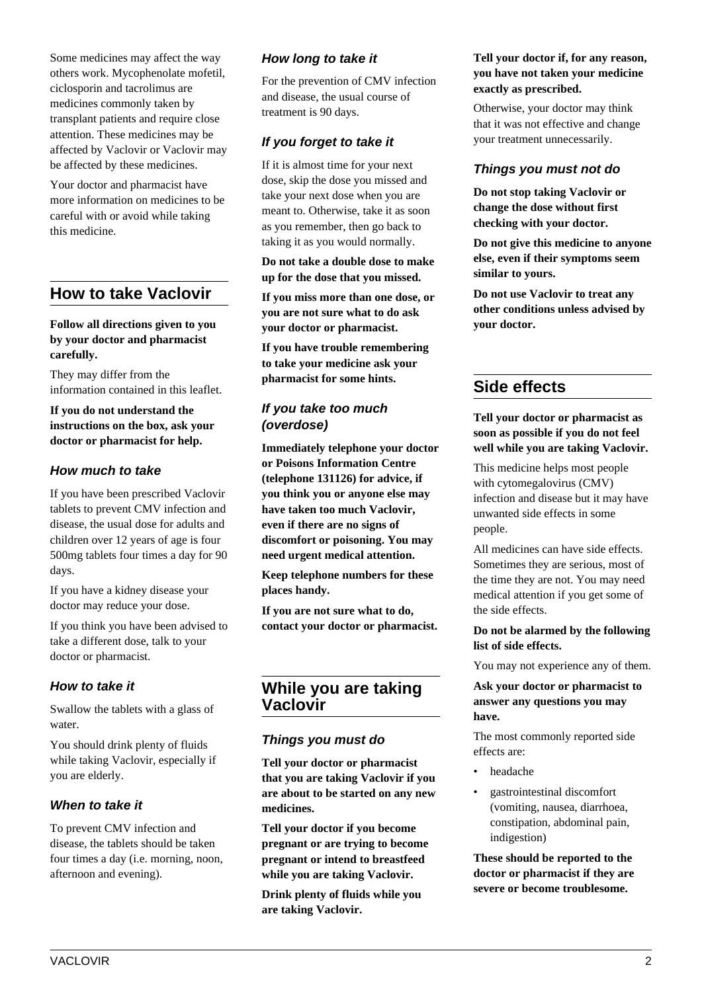Some medicines may affect the way others work. Mycophenolate mofetil, ciclosporin and tacrolimus are medicines commonly taken by transplant patients and require close attention. These medicines may be affected by Vaclovir or Vaclovir may be affected by these medicines.

Your doctor and pharmacist have more information on medicines to be careful with or avoid while taking this medicine.

# **How to take Vaclovir**

**Follow all directions given to you by your doctor and pharmacist carefully.**

They may differ from the information contained in this leaflet.

**If you do not understand the instructions on the box, ask your doctor or pharmacist for help.**

## **How much to take**

If you have been prescribed Vaclovir tablets to prevent CMV infection and disease, the usual dose for adults and children over 12 years of age is four 500mg tablets four times a day for 90 days.

If you have a kidney disease your doctor may reduce your dose.

If you think you have been advised to take a different dose, talk to your doctor or pharmacist.

## **How to take it**

Swallow the tablets with a glass of water.

You should drink plenty of fluids while taking Vaclovir, especially if you are elderly.

## **When to take it**

To prevent CMV infection and disease, the tablets should be taken four times a day (i.e. morning, noon, afternoon and evening).

# **How long to take it**

For the prevention of CMV infection and disease, the usual course of treatment is 90 days.

# **If you forget to take it**

If it is almost time for your next dose, skip the dose you missed and take your next dose when you are meant to. Otherwise, take it as soon as you remember, then go back to taking it as you would normally.

**Do not take a double dose to make up for the dose that you missed.**

**If you miss more than one dose, or you are not sure what to do ask your doctor or pharmacist.**

**If you have trouble remembering to take your medicine ask your pharmacist for some hints.**

## **If you take too much (overdose)**

**Immediately telephone your doctor or Poisons Information Centre (telephone 131126) for advice, if you think you or anyone else may have taken too much Vaclovir, even if there are no signs of discomfort or poisoning. You may need urgent medical attention.**

**Keep telephone numbers for these places handy.**

**If you are not sure what to do, contact your doctor or pharmacist.**

# **While you are taking Vaclovir**

## **Things you must do**

**Tell your doctor or pharmacist that you are taking Vaclovir if you are about to be started on any new medicines.**

**Tell your doctor if you become pregnant or are trying to become pregnant or intend to breastfeed while you are taking Vaclovir.**

**Drink plenty of fluids while you are taking Vaclovir.**

## **Tell your doctor if, for any reason, you have not taken your medicine exactly as prescribed.**

Otherwise, your doctor may think that it was not effective and change your treatment unnecessarily.

# **Things you must not do**

**Do not stop taking Vaclovir or change the dose without first checking with your doctor.**

**Do not give this medicine to anyone else, even if their symptoms seem similar to yours.**

**Do not use Vaclovir to treat any other conditions unless advised by your doctor.**

# **Side effects**

**Tell your doctor or pharmacist as soon as possible if you do not feel well while you are taking Vaclovir.**

This medicine helps most people with cytomegalovirus (CMV) infection and disease but it may have unwanted side effects in some people.

All medicines can have side effects. Sometimes they are serious, most of the time they are not. You may need medical attention if you get some of the side effects.

## **Do not be alarmed by the following list of side effects.**

You may not experience any of them.

## **Ask your doctor or pharmacist to answer any questions you may have.**

The most commonly reported side effects are:

- headache
- gastrointestinal discomfort (vomiting, nausea, diarrhoea, constipation, abdominal pain, indigestion)

**These should be reported to the doctor or pharmacist if they are severe or become troublesome.**